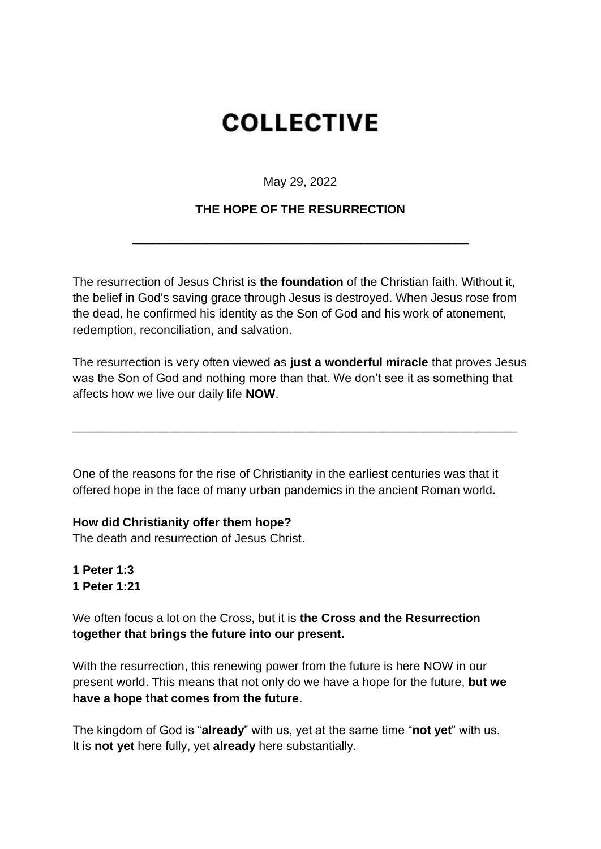# **COLLECTIVE**

May 29, 2022

# **THE HOPE OF THE RESURRECTION**

\_\_\_\_\_\_\_\_\_\_\_\_\_\_\_\_\_\_\_\_\_\_\_\_\_\_\_\_\_\_\_\_\_\_\_\_\_\_\_\_\_\_\_\_\_\_\_\_\_\_

The resurrection of Jesus Christ is **the foundation** of the Christian faith. Without it, the belief in God's saving grace through Jesus is destroyed. When Jesus rose from the dead, he confirmed his identity as the Son of God and his work of atonement, redemption, reconciliation, and salvation.

The resurrection is very often viewed as **just a wonderful miracle** that proves Jesus was the Son of God and nothing more than that. We don't see it as something that affects how we live our daily life **NOW**.

\_\_\_\_\_\_\_\_\_\_\_\_\_\_\_\_\_\_\_\_\_\_\_\_\_\_\_\_\_\_\_\_\_\_\_\_\_\_\_\_\_\_\_\_\_\_\_\_\_\_\_\_\_\_\_\_\_\_\_\_\_\_\_\_\_\_

One of the reasons for the rise of Christianity in the earliest centuries was that it offered hope in the face of many urban pandemics in the ancient Roman world.

# **How did Christianity offer them hope?**

The death and resurrection of Jesus Christ.

**1 Peter 1:3 1 Peter 1:21** 

We often focus a lot on the Cross, but it is **the Cross and the Resurrection together that brings the future into our present.** 

With the resurrection, this renewing power from the future is here NOW in our present world. This means that not only do we have a hope for the future, **but we have a hope that comes from the future**.

The kingdom of God is "**already**" with us, yet at the same time "**not yet**" with us. It is **not yet** here fully, yet **already** here substantially.